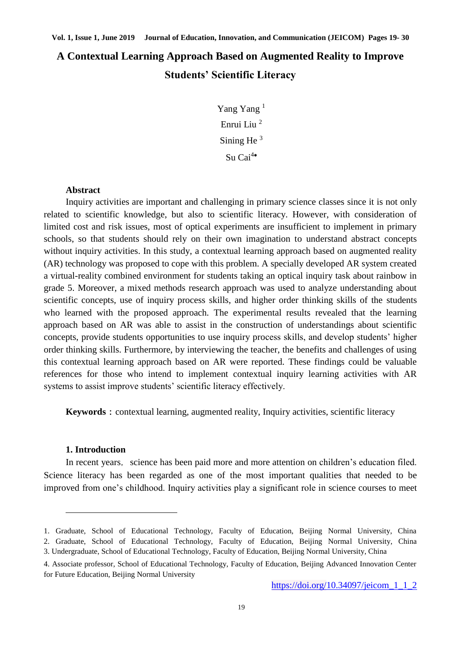# **A Contextual Learning Approach Based on Augmented Reality to Improve Students' Scientific Literacy**

Yang Yang <sup>1</sup> Enrui Liu <sup>2</sup> Sining He<sup>3</sup>  $Su$  Cai<sup>4\*</sup>

### **Abstract**

Inquiry activities are important and challenging in primary science classes since it is not only related to scientific knowledge, but also to scientific literacy. However, with consideration of limited cost and risk issues, most of optical experiments are insufficient to implement in primary schools, so that students should rely on their own imagination to understand abstract concepts without inquiry activities. In this study, a contextual learning approach based on augmented reality (AR) technology was proposed to cope with this problem. A specially developed AR system created a virtual-reality combined environment for students taking an optical inquiry task about rainbow in grade 5. Moreover, a mixed methods research approach was used to analyze understanding about scientific concepts, use of inquiry process skills, and higher order thinking skills of the students who learned with the proposed approach. The experimental results revealed that the learning approach based on AR was able to assist in the construction of understandings about scientific concepts, provide students opportunities to use inquiry process skills, and develop students' higher order thinking skills. Furthermore, by interviewing the teacher, the benefits and challenges of using this contextual learning approach based on AR were reported. These findings could be valuable references for those who intend to implement contextual inquiry learning activities with AR systems to assist improve students' scientific literacy effectively.

**Keywords**: contextual learning, augmented reality, Inquiry activities, scientific literacy

#### **1. Introduction**

 $\overline{a}$ 

In recent years, science has been paid more and more attention on children's education filed. Science literacy has been regarded as one of the most important qualities that needed to be improved from one's childhood. Inquiry activities play a significant role in science courses to meet

<sup>1.</sup> Graduate, School of Educational Technology, Faculty of Education, Beijing Normal University, China 2. Graduate, School of Educational Technology, Faculty of Education, Beijing Normal University, China

<sup>3.</sup> Undergraduate, School of Educational Technology, Faculty of Education, Beijing Normal University, China

<sup>4.</sup> Associate professor, School of Educational Technology, Faculty of Education, Beijing Advanced Innovation Center for Future Education, Beijing Normal University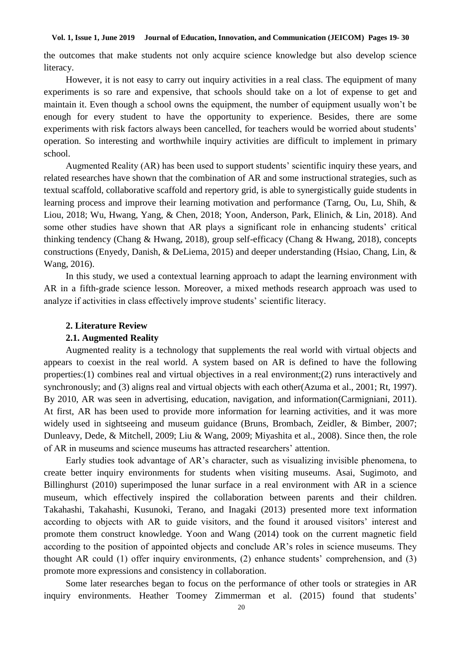the outcomes that make students not only acquire science knowledge but also develop science literacy.

However, it is not easy to carry out inquiry activities in a real class. The equipment of many experiments is so rare and expensive, that schools should take on a lot of expense to get and maintain it. Even though a school owns the equipment, the number of equipment usually won't be enough for every student to have the opportunity to experience. Besides, there are some experiments with risk factors always been cancelled, for teachers would be worried about students' operation. So interesting and worthwhile inquiry activities are difficult to implement in primary school.

Augmented Reality (AR) has been used to support students' scientific inquiry these years, and related researches have shown that the combination of AR and some instructional strategies, such as textual scaffold, collaborative scaffold and repertory grid, is able to synergistically guide students in learning process and improve their learning motivation and performance (Tarng, Ou, Lu, Shih, & Liou, 2018; Wu, Hwang, Yang, & Chen, 2018; Yoon, Anderson, Park, Elinich, & Lin, 2018). And some other studies have shown that AR plays a significant role in enhancing students' critical thinking tendency (Chang & Hwang, 2018), group self-efficacy (Chang & Hwang, 2018), concepts constructions (Enyedy, Danish, & DeLiema, 2015) and deeper understanding (Hsiao, Chang, Lin, & Wang, 2016).

In this study, we used a contextual learning approach to adapt the learning environment with AR in a fifth-grade science lesson. Moreover, a mixed methods research approach was used to analyze if activities in class effectively improve students' scientific literacy.

### **2. Literature Review**

### **2.1. Augmented Reality**

Augmented reality is a technology that supplements the real world with virtual objects and appears to coexist in the real world. A system based on AR is defined to have the following properties:(1) combines real and virtual objectives in a real environment;(2) runs interactively and synchronously; and (3) aligns real and virtual objects with each other(Azuma et al., 2001; Rt, 1997). By 2010, AR was seen in advertising, education, navigation, and information(Carmigniani, 2011). At first, AR has been used to provide more information for learning activities, and it was more widely used in sightseeing and museum guidance (Bruns, Brombach, Zeidler, & Bimber, 2007; Dunleavy, Dede, & Mitchell, 2009; Liu & Wang, 2009; Miyashita et al., 2008). Since then, the role of AR in museums and science museums has attracted researchers' attention.

Early studies took advantage of AR's character, such as visualizing invisible phenomena, to create better inquiry environments for students when visiting museums. Asai, Sugimoto, and Billinghurst (2010) superimposed the lunar surface in a real environment with AR in a science museum, which effectively inspired the collaboration between parents and their children. Takahashi, Takahashi, Kusunoki, Terano, and Inagaki (2013) presented more text information according to objects with AR to guide visitors, and the found it aroused visitors' interest and promote them construct knowledge. Yoon and Wang (2014) took on the current magnetic field according to the position of appointed objects and conclude AR's roles in science museums. They thought AR could (1) offer inquiry environments, (2) enhance students' comprehension, and (3) promote more expressions and consistency in collaboration.

Some later researches began to focus on the performance of other tools or strategies in AR inquiry environments. Heather Toomey Zimmerman et al. (2015) found that students'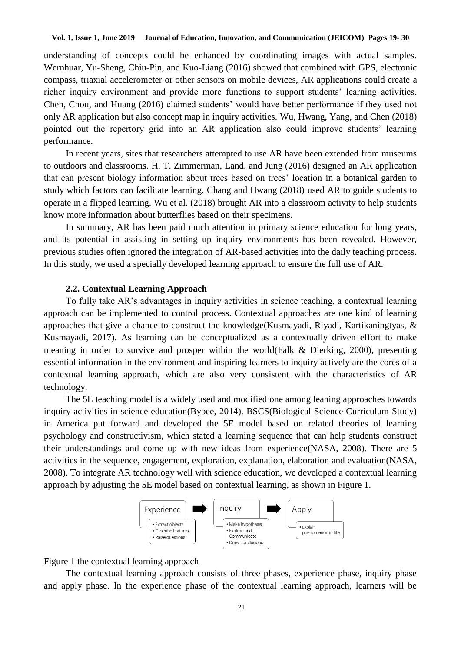understanding of concepts could be enhanced by coordinating images with actual samples. Wernhuar, Yu-Sheng, Chiu-Pin, and Kuo-Liang (2016) showed that combined with GPS, electronic compass, triaxial accelerometer or other sensors on mobile devices, AR applications could create a richer inquiry environment and provide more functions to support students' learning activities. Chen, Chou, and Huang (2016) claimed students' would have better performance if they used not only AR application but also concept map in inquiry activities. Wu, Hwang, Yang, and Chen (2018) pointed out the repertory grid into an AR application also could improve students' learning performance.

In recent years, sites that researchers attempted to use AR have been extended from museums to outdoors and classrooms. H. T. Zimmerman, Land, and Jung (2016) designed an AR application that can present biology information about trees based on trees' location in a botanical garden to study which factors can facilitate learning. Chang and Hwang (2018) used AR to guide students to operate in a flipped learning. Wu et al. (2018) brought AR into a classroom activity to help students know more information about butterflies based on their specimens.

In summary, AR has been paid much attention in primary science education for long years, and its potential in assisting in setting up inquiry environments has been revealed. However, previous studies often ignored the integration of AR-based activities into the daily teaching process. In this study, we used a specially developed learning approach to ensure the full use of AR.

#### **2.2. Contextual Learning Approach**

To fully take AR's advantages in inquiry activities in science teaching, a contextual learning approach can be implemented to control process. Contextual approaches are one kind of learning approaches that give a chance to construct the knowledge(Kusmayadi, Riyadi, Kartikaningtyas, & Kusmayadi, 2017). As learning can be conceptualized as a contextually driven effort to make meaning in order to survive and prosper within the world(Falk & Dierking, 2000), presenting essential information in the environment and inspiring learners to inquiry actively are the cores of a contextual learning approach, which are also very consistent with the characteristics of AR technology.

The 5E teaching model is a widely used and modified one among leaning approaches towards inquiry activities in science education(Bybee, 2014). BSCS(Biological Science Curriculum Study) in America put forward and developed the 5E model based on related theories of learning psychology and constructivism, which stated a learning sequence that can help students construct their understandings and come up with new ideas from experience(NASA, 2008). There are 5 activities in the sequence, engagement, exploration, explanation, elaboration and evaluation(NASA, 2008). To integrate AR technology well with science education, we developed a contextual learning approach by adjusting the 5E model based on contextual learning, as shown in [Figure 1.](#page-2-0)



<span id="page-2-0"></span>Figure 1 the contextual learning approach

The contextual learning approach consists of three phases, experience phase, inquiry phase and apply phase. In the experience phase of the contextual learning approach, learners will be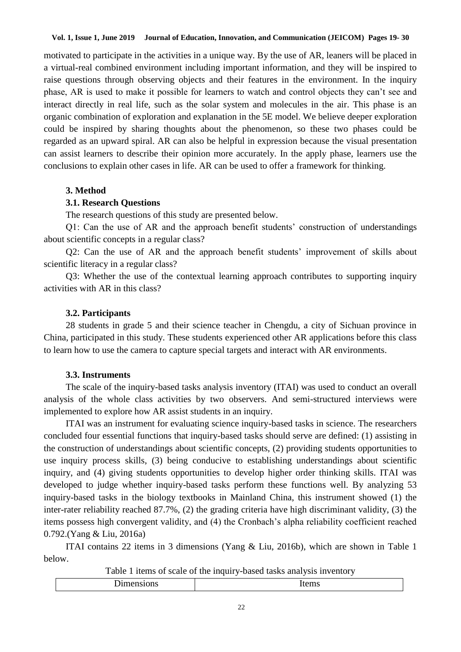motivated to participate in the activities in a unique way. By the use of AR, leaners will be placed in a virtual-real combined environment including important information, and they will be inspired to raise questions through observing objects and their features in the environment. In the inquiry phase, AR is used to make it possible for learners to watch and control objects they can't see and interact directly in real life, such as the solar system and molecules in the air. This phase is an organic combination of exploration and explanation in the 5E model. We believe deeper exploration could be inspired by sharing thoughts about the phenomenon, so these two phases could be regarded as an upward spiral. AR can also be helpful in expression because the visual presentation can assist learners to describe their opinion more accurately. In the apply phase, learners use the conclusions to explain other cases in life. AR can be used to offer a framework for thinking.

# **3. Method**

# **3.1. Research Questions**

The research questions of this study are presented below.

Q1: Can the use of AR and the approach benefit students' construction of understandings about scientific concepts in a regular class?

Q2: Can the use of AR and the approach benefit students' improvement of skills about scientific literacy in a regular class?

Q3: Whether the use of the contextual learning approach contributes to supporting inquiry activities with AR in this class?

# **3.2. Participants**

28 students in grade 5 and their science teacher in Chengdu, a city of Sichuan province in China, participated in this study. These students experienced other AR applications before this class to learn how to use the camera to capture special targets and interact with AR environments.

# **3.3. Instruments**

The scale of the inquiry-based tasks analysis inventory (ITAI) was used to conduct an overall analysis of the whole class activities by two observers. And semi-structured interviews were implemented to explore how AR assist students in an inquiry.

ITAI was an instrument for evaluating science inquiry-based tasks in science. The researchers concluded four essential functions that inquiry-based tasks should serve are defined: (1) assisting in the construction of understandings about scientific concepts, (2) providing students opportunities to use inquiry process skills, (3) being conducive to establishing understandings about scientific inquiry, and (4) giving students opportunities to develop higher order thinking skills. ITAI was developed to judge whether inquiry-based tasks perform these functions well. By analyzing 53 inquiry-based tasks in the biology textbooks in Mainland China, this instrument showed (1) the inter-rater reliability reached 87.7%, (2) the grading criteria have high discriminant validity, (3) the items possess high convergent validity, and (4) the Cronbach's alpha reliability coefficient reached 0.792.(Yang & Liu, 2016a)

ITAI contains 22 items in 3 dimensions (Yang & Liu, 2016b), which are shown in [Table 1](#page-3-0) below.

Table 1 items of scale of the inquiry-based tasks analysis inventory

<span id="page-3-0"></span>

|--|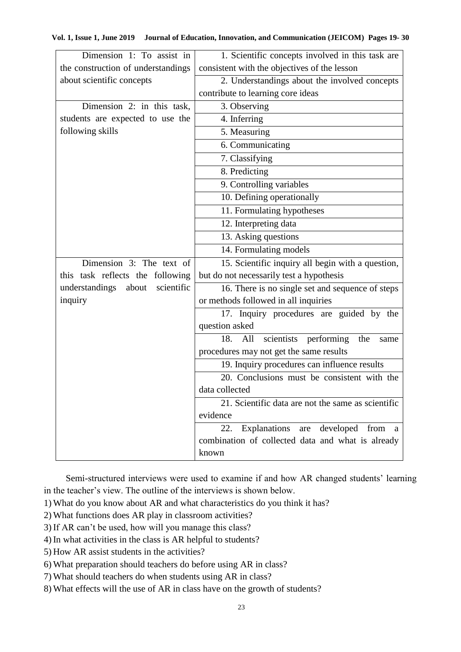| Dimension 1: To assist in             | 1. Scientific concepts involved in this task are           |
|---------------------------------------|------------------------------------------------------------|
| the construction of understandings    | consistent with the objectives of the lesson               |
| about scientific concepts             | 2. Understandings about the involved concepts              |
|                                       | contribute to learning core ideas                          |
| Dimension 2: in this task,            | 3. Observing                                               |
| students are expected to use the      | 4. Inferring                                               |
| following skills                      | 5. Measuring                                               |
|                                       | 6. Communicating                                           |
|                                       | 7. Classifying                                             |
|                                       | 8. Predicting                                              |
|                                       | 9. Controlling variables                                   |
|                                       | 10. Defining operationally                                 |
|                                       | 11. Formulating hypotheses                                 |
|                                       | 12. Interpreting data                                      |
|                                       | 13. Asking questions                                       |
|                                       | 14. Formulating models                                     |
| Dimension 3: The text of              | 15. Scientific inquiry all begin with a question,          |
| this task reflects the following      | but do not necessarily test a hypothesis                   |
| understandings<br>about<br>scientific | 16. There is no single set and sequence of steps           |
| inquiry                               | or methods followed in all inquiries                       |
|                                       | 17. Inquiry procedures are guided by the<br>question asked |
|                                       | performing<br>18.<br>scientists<br>All<br>the<br>same      |
|                                       | procedures may not get the same results                    |
|                                       | 19. Inquiry procedures can influence results               |
|                                       | 20. Conclusions must be consistent with the                |
|                                       | data collected                                             |
|                                       | 21. Scientific data are not the same as scientific         |
|                                       | evidence                                                   |
|                                       | Explanations are developed<br>22.<br>from<br>a a           |
|                                       | combination of collected data and what is already          |
|                                       | known                                                      |

Semi-structured interviews were used to examine if and how AR changed students' learning in the teacher's view. The outline of the interviews is shown below.

1) What do you know about AR and what characteristics do you think it has?

2) What functions does AR play in classroom activities?

- 3) If AR can't be used, how will you manage this class?
- 4) In what activities in the class is AR helpful to students?
- 5) How AR assist students in the activities?
- 6) What preparation should teachers do before using AR in class?

7) What should teachers do when students using AR in class?

8) What effects will the use of AR in class have on the growth of students?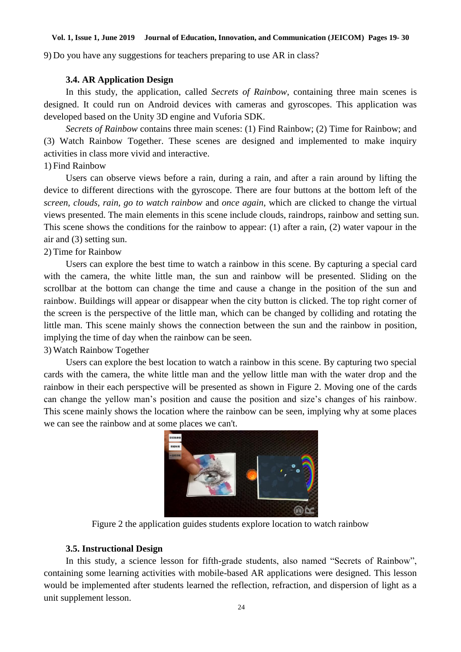9) Do you have any suggestions for teachers preparing to use AR in class?

### **3.4. AR Application Design**

In this study, the application, called *Secrets of Rainbow*, containing three main scenes is designed. It could run on Android devices with cameras and gyroscopes. This application was developed based on the Unity 3D engine and Vuforia SDK.

*Secrets of Rainbow* contains three main scenes: (1) Find Rainbow; (2) Time for Rainbow; and (3) Watch Rainbow Together. These scenes are designed and implemented to make inquiry activities in class more vivid and interactive.

# 1) Find Rainbow

Users can observe views before a rain, during a rain, and after a rain around by lifting the device to different directions with the gyroscope. There are four buttons at the bottom left of the *screen, clouds, rain, go to watch rainbow* and *once again*, which are clicked to change the virtual views presented. The main elements in this scene include clouds, raindrops, rainbow and setting sun. This scene shows the conditions for the rainbow to appear: (1) after a rain, (2) water vapour in the air and (3) setting sun.

## 2) Time for Rainbow

Users can explore the best time to watch a rainbow in this scene. By capturing a special card with the camera, the white little man, the sun and rainbow will be presented. Sliding on the scrollbar at the bottom can change the time and cause a change in the position of the sun and rainbow. Buildings will appear or disappear when the city button is clicked. The top right corner of the screen is the perspective of the little man, which can be changed by colliding and rotating the little man. This scene mainly shows the connection between the sun and the rainbow in position, implying the time of day when the rainbow can be seen.

3) Watch Rainbow Together

Users can explore the best location to watch a rainbow in this scene. By capturing two special cards with the camera, the white little man and the yellow little man with the water drop and the rainbow in their each perspective will be presented as shown in [Figure 2.](#page-5-0) Moving one of the cards can change the yellow man's position and cause the position and size's changes of his rainbow. This scene mainly shows the location where the rainbow can be seen, implying why at some places we can see the rainbow and at some places we can't.



Figure 2 the application guides students explore location to watch rainbow

### <span id="page-5-0"></span>**3.5. Instructional Design**

In this study, a science lesson for fifth-grade students, also named "Secrets of Rainbow", containing some learning activities with mobile-based AR applications were designed. This lesson would be implemented after students learned the reflection, refraction, and dispersion of light as a unit supplement lesson.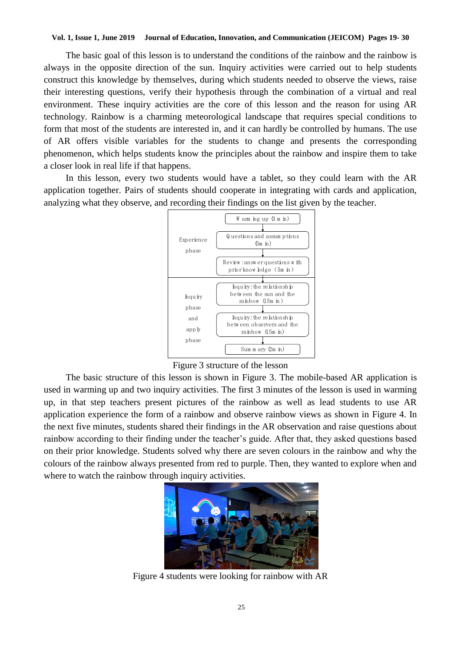The basic goal of this lesson is to understand the conditions of the rainbow and the rainbow is always in the opposite direction of the sun. Inquiry activities were carried out to help students construct this knowledge by themselves, during which students needed to observe the views, raise their interesting questions, verify their hypothesis through the combination of a virtual and real environment. These inquiry activities are the core of this lesson and the reason for using AR technology. Rainbow is a charming meteorological landscape that requires special conditions to form that most of the students are interested in, and it can hardly be controlled by humans. The use of AR offers visible variables for the students to change and presents the corresponding phenomenon, which helps students know the principles about the rainbow and inspire them to take a closer look in real life if that happens.

In this lesson, every two students would have a tablet, so they could learn with the AR application together. Pairs of students should cooperate in integrating with cards and application, analyzing what they observe, and recording their findings on the list given by the teacher. berate in integral<br>adings on the list<br> $\frac{W \text{ atm ng up } 6 \text{ m h}}{W \text{ atm ng up } 6 \text{ m h}}}$ 



Figure 3 structure of the lesson

<span id="page-6-0"></span>The basic structure of this lesson is shown in [Figure 3.](#page-6-0) The mobile-based AR application is used in warming up and two inquiry activities. The first 3 minutes of the lesson is used in warming up, in that step teachers present pictures of the rainbow as well as lead students to use AR application experience the form of a rainbow and observe rainbow views as shown in [Figure 4.](#page-6-1) In the next five minutes, students shared their findings in the AR observation and raise questions about rainbow according to their finding under the teacher's guide. After that, they asked questions based on their prior knowledge. Students solved why there are seven colours in the rainbow and why the colours of the rainbow always presented from red to purple. Then, they wanted to explore when and where to watch the rainbow through inquiry activities.

<span id="page-6-1"></span>

Figure 4 students were looking for rainbow with AR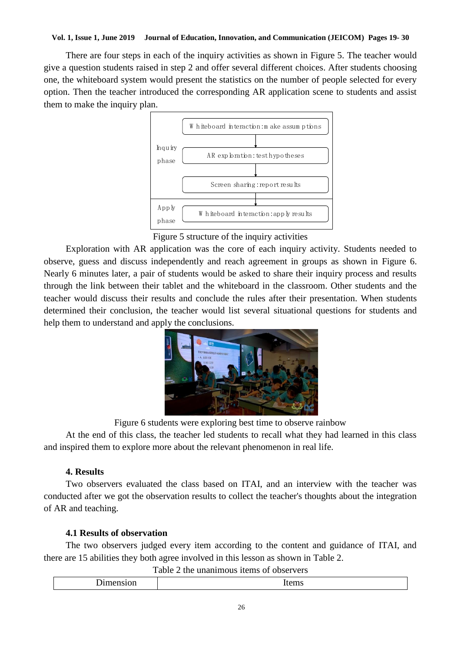There are four steps in each of the inquiry activities as shown in [Figure 5.](#page-7-0) The teacher would give a question students raised in step 2 and offer several different choices. After students choosing one, the whiteboard system would present the statistics on the number of people selected for every option. Then the teacher introduced the corresponding AR application scene to students and assist them to make the inquiry plan.



Figure 5 structure of the inquiry activities

<span id="page-7-0"></span>Exploration with AR application was the core of each inquiry activity. Students needed to observe, guess and discuss independently and reach agreement in groups as shown in [Figure 6.](#page-7-1) Nearly 6 minutes later, a pair of students would be asked to share their inquiry process and results through the link between their tablet and the whiteboard in the classroom. Other students and the teacher would discuss their results and conclude the rules after their presentation. When students determined their conclusion, the teacher would list several situational questions for students and help them to understand and apply the conclusions.



Figure 6 students were exploring best time to observe rainbow

<span id="page-7-1"></span>At the end of this class, the teacher led students to recall what they had learned in this class and inspired them to explore more about the relevant phenomenon in real life.

# **4. Results**

Two observers evaluated the class based on ITAI, and an interview with the teacher was conducted after we got the observation results to collect the teacher's thoughts about the integration of AR and teaching.

# **4.1 Results of observation**

The two observers judged every item according to the content and guidance of ITAI, and there are 15 abilities they both agree involved in this lesson as shown in [Table 2.](#page-7-2)

Table 2 the unanimous items of observers

<span id="page-7-2"></span>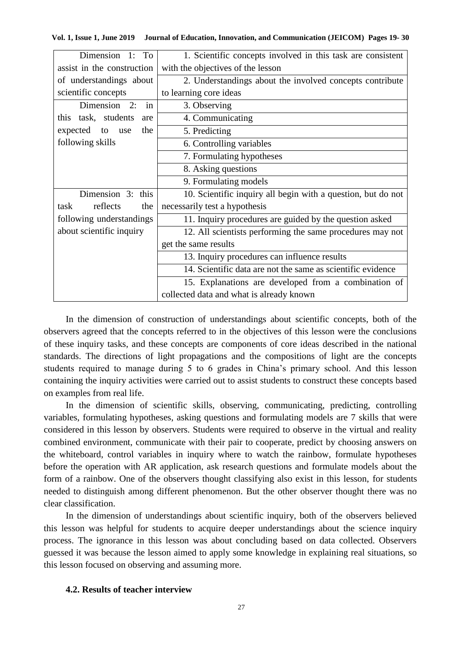| Vol. 1, Issue 1, June 2019 Journal of Education, Innovation, and Communication (JEICOM) Pages 19-30 |  |  |  |
|-----------------------------------------------------------------------------------------------------|--|--|--|
|-----------------------------------------------------------------------------------------------------|--|--|--|

| Dimension 1: To            | 1. Scientific concepts involved in this task are consistent  |
|----------------------------|--------------------------------------------------------------|
| assist in the construction | with the objectives of the lesson                            |
| of understandings about    | 2. Understandings about the involved concepts contribute     |
| scientific concepts        | to learning core ideas                                       |
| Dimension 2:<br>in         | 3. Observing                                                 |
| this task, students<br>are | 4. Communicating                                             |
| expected to use<br>the     | 5. Predicting                                                |
| following skills           | 6. Controlling variables                                     |
|                            | 7. Formulating hypotheses                                    |
|                            | 8. Asking questions                                          |
|                            | 9. Formulating models                                        |
| Dimension 3: this          | 10. Scientific inquiry all begin with a question, but do not |
| reflects<br>the<br>task    | necessarily test a hypothesis                                |
| following understandings   | 11. Inquiry procedures are guided by the question asked      |
| about scientific inquiry   | 12. All scientists performing the same procedures may not    |
|                            | get the same results                                         |
|                            | 13. Inquiry procedures can influence results                 |
|                            | 14. Scientific data are not the same as scientific evidence  |
|                            | 15. Explanations are developed from a combination of         |
|                            | collected data and what is already known                     |

In the dimension of construction of understandings about scientific concepts, both of the observers agreed that the concepts referred to in the objectives of this lesson were the conclusions of these inquiry tasks, and these concepts are components of core ideas described in the national standards. The directions of light propagations and the compositions of light are the concepts students required to manage during 5 to 6 grades in China's primary school. And this lesson containing the inquiry activities were carried out to assist students to construct these concepts based on examples from real life.

In the dimension of scientific skills, observing, communicating, predicting, controlling variables, formulating hypotheses, asking questions and formulating models are 7 skills that were considered in this lesson by observers. Students were required to observe in the virtual and reality combined environment, communicate with their pair to cooperate, predict by choosing answers on the whiteboard, control variables in inquiry where to watch the rainbow, formulate hypotheses before the operation with AR application, ask research questions and formulate models about the form of a rainbow. One of the observers thought classifying also exist in this lesson, for students needed to distinguish among different phenomenon. But the other observer thought there was no clear classification.

In the dimension of understandings about scientific inquiry, both of the observers believed this lesson was helpful for students to acquire deeper understandings about the science inquiry process. The ignorance in this lesson was about concluding based on data collected. Observers guessed it was because the lesson aimed to apply some knowledge in explaining real situations, so this lesson focused on observing and assuming more.

## **4.2. Results of teacher interview**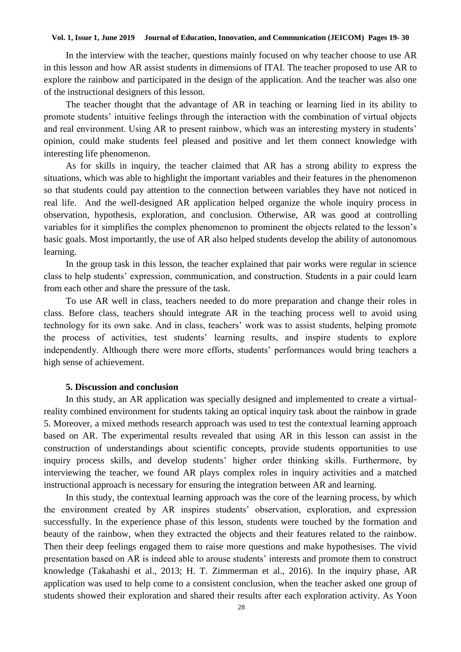In the interview with the teacher, questions mainly focused on why teacher choose to use AR in this lesson and how AR assist students in dimensions of ITAI. The teacher proposed to use AR to explore the rainbow and participated in the design of the application. And the teacher was also one of the instructional designers of this lesson.

The teacher thought that the advantage of AR in teaching or learning lied in its ability to promote students' intuitive feelings through the interaction with the combination of virtual objects and real environment. Using AR to present rainbow, which was an interesting mystery in students' opinion, could make students feel pleased and positive and let them connect knowledge with interesting life phenomenon.

As for skills in inquiry, the teacher claimed that AR has a strong ability to express the situations, which was able to highlight the important variables and their features in the phenomenon so that students could pay attention to the connection between variables they have not noticed in real life. And the well-designed AR application helped organize the whole inquiry process in observation, hypothesis, exploration, and conclusion. Otherwise, AR was good at controlling variables for it simplifies the complex phenomenon to prominent the objects related to the lesson's basic goals. Most importantly, the use of AR also helped students develop the ability of autonomous learning.

In the group task in this lesson, the teacher explained that pair works were regular in science class to help students' expression, communication, and construction. Students in a pair could learn from each other and share the pressure of the task.

To use AR well in class, teachers needed to do more preparation and change their roles in class. Before class, teachers should integrate AR in the teaching process well to avoid using technology for its own sake. And in class, teachers' work was to assist students, helping promote the process of activities, test students' learning results, and inspire students to explore independently. Although there were more efforts, students' performances would bring teachers a high sense of achievement.

# **5. Discussion and conclusion**

In this study, an AR application was specially designed and implemented to create a virtualreality combined environment for students taking an optical inquiry task about the rainbow in grade 5. Moreover, a mixed methods research approach was used to test the contextual learning approach based on AR. The experimental results revealed that using AR in this lesson can assist in the construction of understandings about scientific concepts, provide students opportunities to use inquiry process skills, and develop students' higher order thinking skills. Furthermore, by interviewing the teacher, we found AR plays complex roles in inquiry activities and a matched instructional approach is necessary for ensuring the integration between AR and learning.

In this study, the contextual learning approach was the core of the learning process, by which the environment created by AR inspires students' observation, exploration, and expression successfully. In the experience phase of this lesson, students were touched by the formation and beauty of the rainbow, when they extracted the objects and their features related to the rainbow. Then their deep feelings engaged them to raise more questions and make hypothesises. The vivid presentation based on AR is indeed able to arouse students' interests and promote them to construct knowledge (Takahashi et al., 2013; H. T. Zimmerman et al., 2016). In the inquiry phase, AR application was used to help come to a consistent conclusion, when the teacher asked one group of students showed their exploration and shared their results after each exploration activity. As Yoon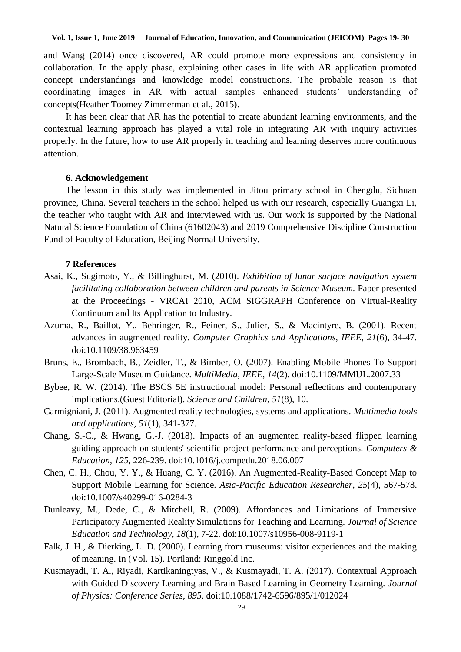and Wang (2014) once discovered, AR could promote more expressions and consistency in collaboration. In the apply phase, explaining other cases in life with AR application promoted concept understandings and knowledge model constructions. The probable reason is that coordinating images in AR with actual samples enhanced students' understanding of concepts(Heather Toomey Zimmerman et al., 2015).

It has been clear that AR has the potential to create abundant learning environments, and the contextual learning approach has played a vital role in integrating AR with inquiry activities properly. In the future, how to use AR properly in teaching and learning deserves more continuous attention.

### **6. Acknowledgement**

The lesson in this study was implemented in Jitou primary school in Chengdu, Sichuan province, China. Several teachers in the school helped us with our research, especially Guangxi Li, the teacher who taught with AR and interviewed with us. Our work is supported by the National Natural Science Foundation of China (61602043) and 2019 Comprehensive Discipline Construction Fund of Faculty of Education, Beijing Normal University.

### **7 References**

- Asai, K., Sugimoto, Y., & Billinghurst, M. (2010). *Exhibition of lunar surface navigation system facilitating collaboration between children and parents in Science Museum.* Paper presented at the Proceedings - VRCAI 2010, ACM SIGGRAPH Conference on Virtual-Reality Continuum and Its Application to Industry.
- Azuma, R., Baillot, Y., Behringer, R., Feiner, S., Julier, S., & Macintyre, B. (2001). Recent advances in augmented reality. *Computer Graphics and Applications, IEEE, 21*(6), 34-47. doi:10.1109/38.963459
- Bruns, E., Brombach, B., Zeidler, T., & Bimber, O. (2007). Enabling Mobile Phones To Support Large-Scale Museum Guidance. *MultiMedia, IEEE, 14*(2). doi:10.1109/MMUL.2007.33
- Bybee, R. W. (2014). The BSCS 5E instructional model: Personal reflections and contemporary implications.(Guest Editorial). *Science and Children, 51*(8), 10.
- Carmigniani, J. (2011). Augmented reality technologies, systems and applications. *Multimedia tools and applications, 51*(1), 341-377.
- Chang, S.-C., & Hwang, G.-J. (2018). Impacts of an augmented reality-based flipped learning guiding approach on students' scientific project performance and perceptions. *Computers & Education, 125*, 226-239. doi:10.1016/j.compedu.2018.06.007
- Chen, C. H., Chou, Y. Y., & Huang, C. Y. (2016). An Augmented-Reality-Based Concept Map to Support Mobile Learning for Science. *Asia-Pacific Education Researcher, 25*(4), 567-578. doi:10.1007/s40299-016-0284-3
- Dunleavy, M., Dede, C., & Mitchell, R. (2009). Affordances and Limitations of Immersive Participatory Augmented Reality Simulations for Teaching and Learning. *Journal of Science Education and Technology, 18*(1), 7-22. doi:10.1007/s10956-008-9119-1
- Falk, J. H., & Dierking, L. D. (2000). Learning from museums: visitor experiences and the making of meaning. In (Vol. 15). Portland: Ringgold Inc.
- Kusmayadi, T. A., Riyadi, Kartikaningtyas, V., & Kusmayadi, T. A. (2017). Contextual Approach with Guided Discovery Learning and Brain Based Learning in Geometry Learning. *Journal of Physics: Conference Series, 895*. doi:10.1088/1742-6596/895/1/012024